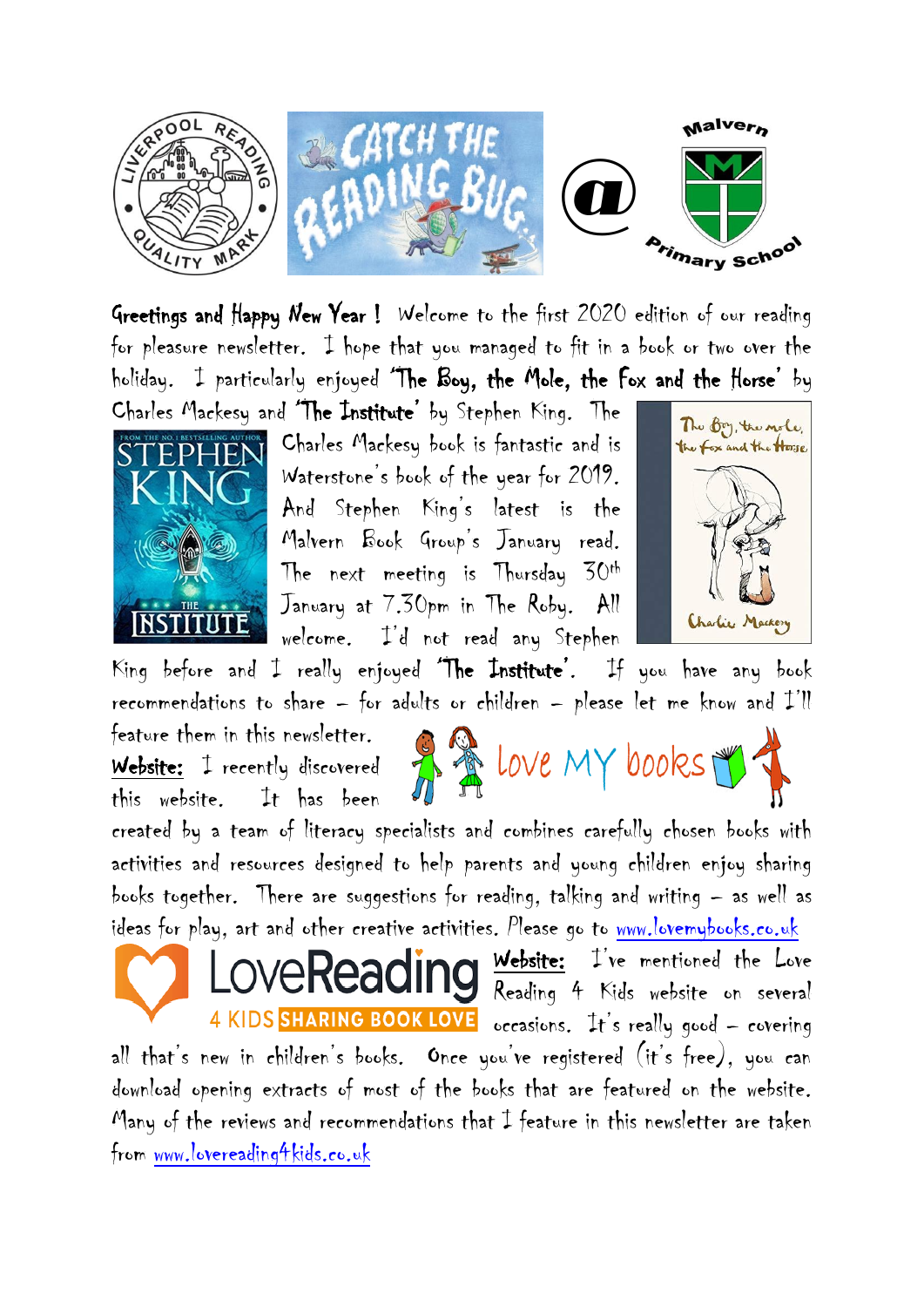

Greetings and Happy New Year ! Welcome to the first 2020 edition of our reading for pleasure newsletter. I hope that you managed to fit in a book or two over the holiday. I particularly enjoyed 'The Boy, the Mole, the Fox and the Horse' by Charles Mackesy and 'The Institute' by Stephen King. The



Charles Mackesy book is fantastic and is Waterstone's book of the year for 2019. And Stephen King's latest is the Malvern Book Group's January read. The next meeting is Thursday 30th January at 7.30pm in The Roby. All welcome. I'd not read any Stephen



King before and  $I$  really enjoyed 'The Institute'. If you have any book recommendations to share  $-$  for adults or children  $-$  please let me know and  $I'll$ 

feature them in this newsletter. Website: I recently discovered this website. It has been

R & Love MY books

Website: I've mentioned the Love

Reading 4 Kids website on several

created by a team of literacy specialists and combines carefully chosen books with activities and resources designed to help parents and young children enjoy sharing books together. There are suggestions for reading, talking and writing – as well as ideas for play, art and other creative activities. Please go to [www.lovemybooks.co.uk](http://www.lovemybooks.co.uk/)



4 KIDS SHARING BOOK LOVE occasions. It's really good - covering all that's new in children's books. Once you've registered (it's free), you can download opening extracts of most of the books that are featured on the website. Many of the reviews and recommendations that  $I$  feature in this newsletter are taken from [www.lovereading4kids.co.uk](http://www.lovereading4kids.co.uk/)